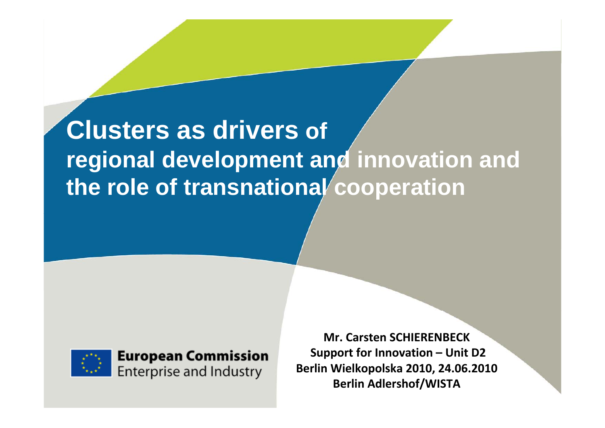# **Clusters as drivers of regional development and innovation and the role of transnational cooperation**



**European Commission Enterprise and Industry** 

**Mr. Carsten SCHIERENBECKSupport for Innovation – Unit D2 Berlin Wielkopolska 2010, 24.06.2010 Berlin Adlershof/WISTA**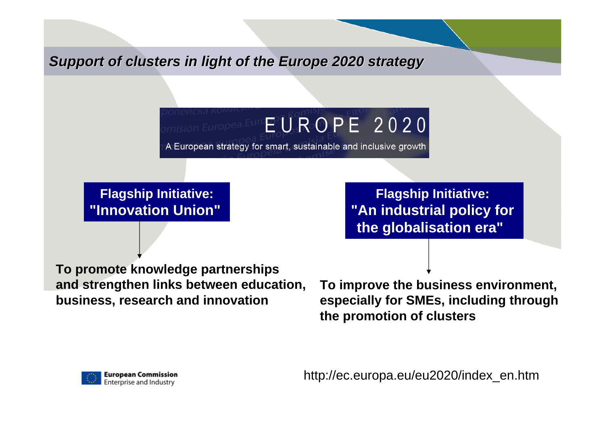*Support of clusters in light of the Europe 2020 strategy* 

# $m$ isión Europea Eur $\mathbf{F} \mathbf{U} \mathbf{R} \mathbf{O} \mathbf{P} \mathbf{E}$  2020

A European strategy for smart, sustainable and inclusive growth

**Flagship Initiative: "Innovation Union"**

**Flagship Initiative: "An industrial policy for the globalisation era"** 

**To promote knowledge partnerships and strengthen links between education, business, research and innovation**

**To improve the business environment, especially for SMEs, including through the promotion of clusters** 

http://ec.europa.eu/eu2020/index\_en.htm

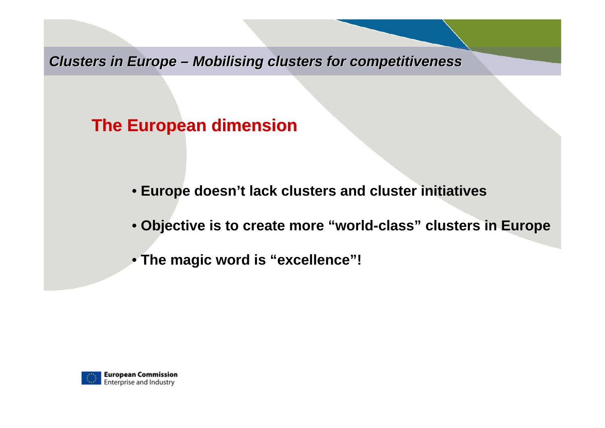**Clusters in Europe – Mobilising clusters for competitiveness** 

## **The European dimension The European dimension**

- **Europe doesn't lack clusters and cluster initiatives**
- **Objective is to create more "world-class" clusters in Europe**
- **The magic word is "excellence"!**

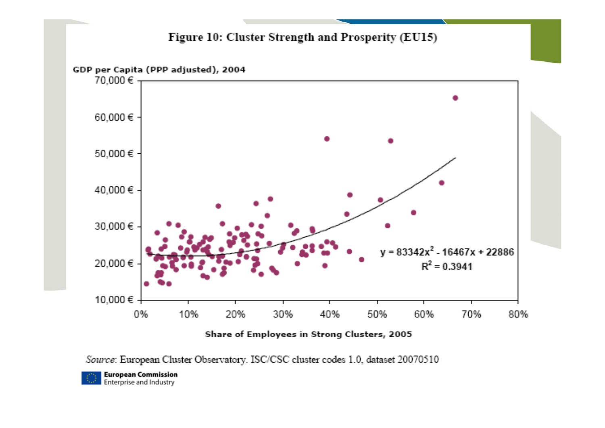

Share of Employees in Strong Clusters, 2005

Source: European Cluster Observatory. ISC/CSC cluster codes 1.0, dataset 20070510

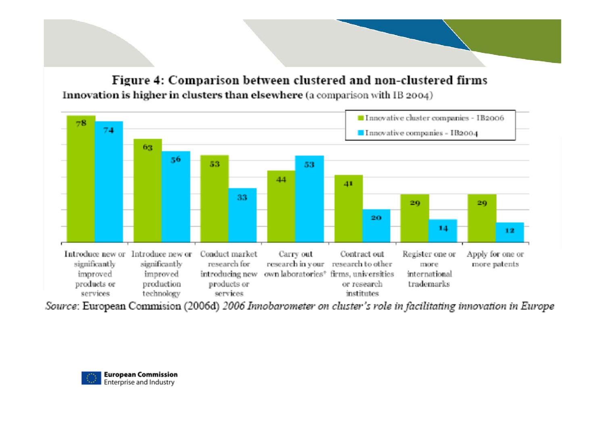Figure 4: Comparison between clustered and non-clustered firms Innovation is higher in clusters than elsewhere (a comparison with IB 2004)



Source: European Commision (2006d) 2006 Innobarometer on cluster's role in facilitating innovation in Europe

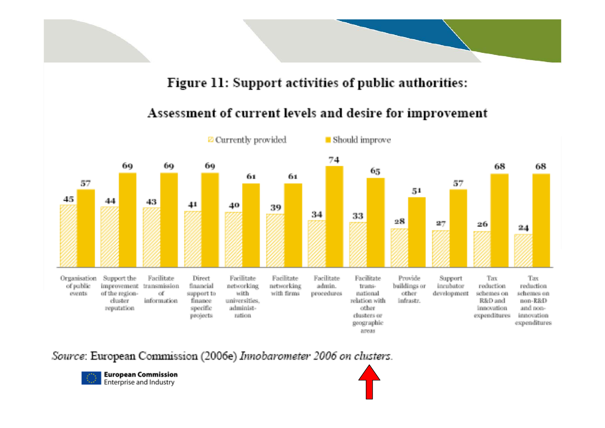#### Figure 11: Support activities of public authorities:

#### Assessment of current levels and desire for improvement



Source: European Commission (2006e) Innobarometer 2006 on clusters.

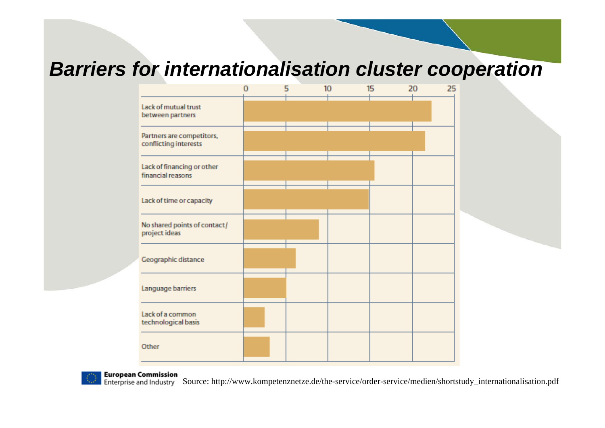# *Barriers for internationalisation cluster cooperation*





**European Commission** 

Enterprise and Industry Source: http://www.kompetenznetze.de/the-service/order-service/medien/shortstudy\_internationalisation.pdf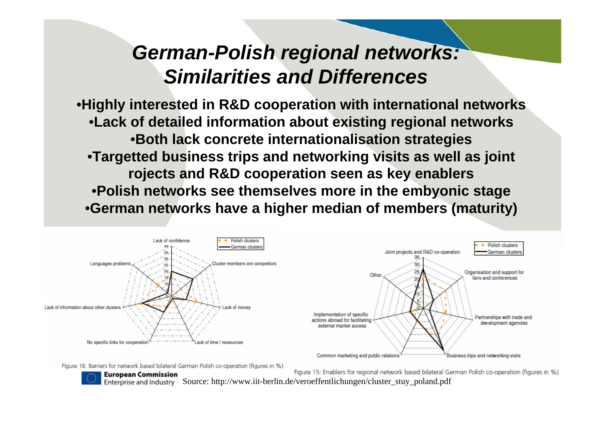# *German-Polish regional networks: Similarities and Differences*

•**Highly interested in R&D cooperation with international networks** •**Lack of detailed information about existing regional networks** •**Both lack concrete internationalisation strategies** •**Targetted business trips and networking visits as well as joint rojects and R&D cooperation seen as key enablers** •**Polish networks see themselves more in the embyonic stage**  •**German networks have a higher median of members (maturity)** 



Figure 16: Barriers for network based bilateral German Polish co-operation (figures in %)



**European Commission** 

Figure 15: Enablers for regional network based bilateral German Polish co-operation (figures in %) Enterprise and Industry Source: http://www.iit-berlin.de/veroeffentlichungen/cluster\_stuy\_poland.pdf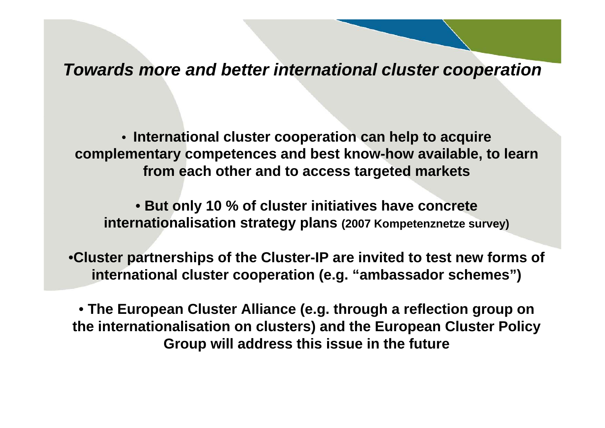*Towards more and better international cluster cooperation*

• **International cluster cooperation can help to acquire complementary competences and best know-how available, to learn from each other and to access targeted markets**

• **But only 10 % of cluster initiatives have concrete internationalisation strategy plans (2007 Kompetenznetze survey)**

•**Cluster partnerships of the Cluster-IP are invited to test new forms of international cluster cooperation (e.g. "ambassador schemes")**

• **The European Cluster Alliance (e.g. through a reflection group on the internationalisation on clusters) and the European Cluster Policy Group will address this issue in the future**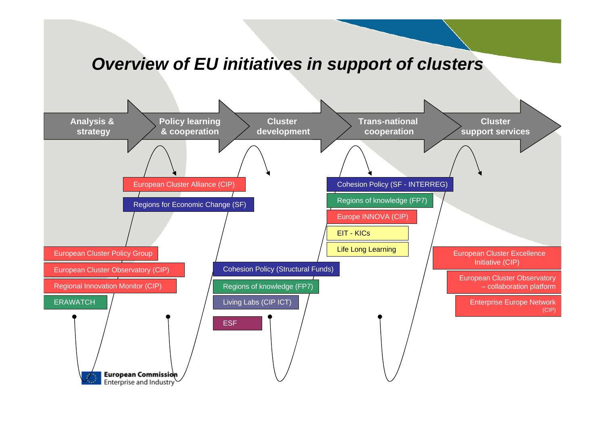### *Overview of EU initiatives in support of clusters*

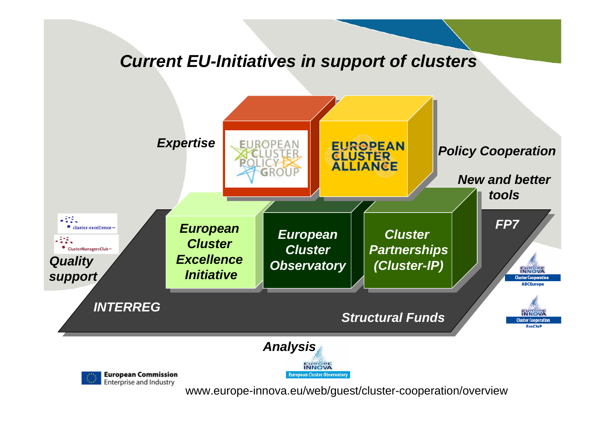### *Current EU-Initiatives in support of clusters*



www.europe-innova.eu/web/guest/cluster-cooperation/overview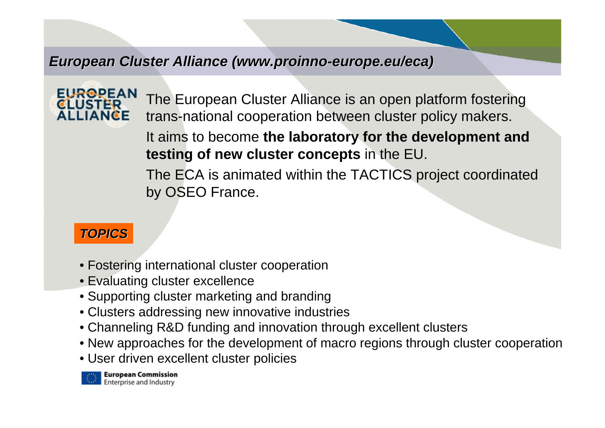#### *European Cluster Alliance ( European Cluster Alliance (www.proinno www.proinno-europe.eu/eca europe.eu/eca)*



The European Cluster Alliance is an open platform fostering trans-national cooperation between cluster policy makers.

It aims to become **the laboratory for the development and testing of new cluster concepts** in the EU.

The ECA is animated within the TACTICS project coordinated by OSEO France.

#### *TOPICS*

- Fostering international cluster cooperation
- Evaluating cluster excellence
- Supporting cluster marketing and branding
- Clusters addressing new innovative industries
- Channeling R&D funding and innovation through excellent clusters
- New approaches for the development of macro regions through cluster cooperatio n
- User driven excellent cluster policies

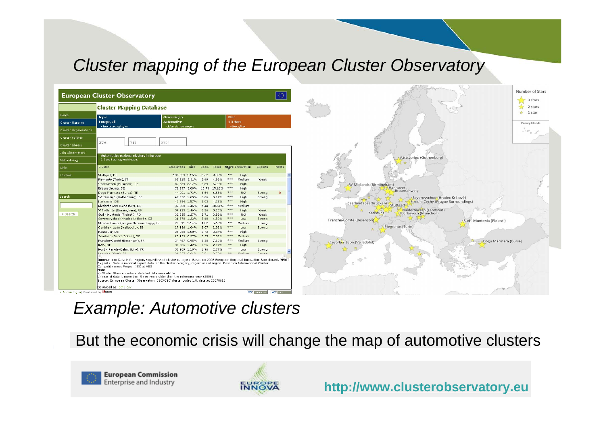## *Cluster mapping of the European Cluster Observatory*

| <b>European Cluster Observatory</b> |                                                                                                                                                                                                                                                                                                                                                                                                                                                                                                                                                               |                                                |       |              |                |                              |                         |                          |              |           |  |
|-------------------------------------|---------------------------------------------------------------------------------------------------------------------------------------------------------------------------------------------------------------------------------------------------------------------------------------------------------------------------------------------------------------------------------------------------------------------------------------------------------------------------------------------------------------------------------------------------------------|------------------------------------------------|-------|--------------|----------------|------------------------------|-------------------------|--------------------------|--------------|-----------|--|
|                                     | <b>Cluster Mapping Database</b>                                                                                                                                                                                                                                                                                                                                                                                                                                                                                                                               |                                                |       |              |                |                              |                         |                          |              |           |  |
| Home                                | Region                                                                                                                                                                                                                                                                                                                                                                                                                                                                                                                                                        | Clustercategory                                |       |              |                | Filter                       |                         |                          |              |           |  |
| Cluster Mapping                     | Europe, all<br>» Select country/region                                                                                                                                                                                                                                                                                                                                                                                                                                                                                                                        | <b>Automotive</b><br>» Select cluster category |       |              |                | 1-3 stars<br>» Select filter |                         |                          |              |           |  |
| Cluster Organisations               |                                                                                                                                                                                                                                                                                                                                                                                                                                                                                                                                                               |                                                |       |              |                |                              |                         |                          |              |           |  |
| <b>Cluster Policies</b>             |                                                                                                                                                                                                                                                                                                                                                                                                                                                                                                                                                               |                                                |       |              |                |                              |                         |                          |              |           |  |
| Cluster Library                     | table<br>map                                                                                                                                                                                                                                                                                                                                                                                                                                                                                                                                                  | graph                                          |       |              |                |                              |                         |                          |              |           |  |
| Join Observatory                    |                                                                                                                                                                                                                                                                                                                                                                                                                                                                                                                                                               |                                                |       |              |                |                              |                         |                          |              |           |  |
| Methodology                         | Automotive regional clusters in Europe<br>1, 2 and 3 star regional clusters                                                                                                                                                                                                                                                                                                                                                                                                                                                                                   |                                                |       |              |                |                              |                         |                          |              |           |  |
| Links                               | Cluster                                                                                                                                                                                                                                                                                                                                                                                                                                                                                                                                                       | <b>Employees</b>                               | Size  | Spec.        | Focus          |                              | <b>Stars Innovation</b> | Exports                  | <b>Notes</b> |           |  |
| Contact                             | Stuttgart, DE                                                                                                                                                                                                                                                                                                                                                                                                                                                                                                                                                 | 136 353 5.25%                                  |       | 6.62         | 9.35%          | ***                          | High                    |                          |              | $\lambda$ |  |
|                                     | Piemonte (Turin), IT                                                                                                                                                                                                                                                                                                                                                                                                                                                                                                                                          | 85 915 3.31%                                   |       | 3.49         | 4.92%          | ***                          | Medium                  | Weak                     |              |           |  |
|                                     | Oberbayern (München), DE                                                                                                                                                                                                                                                                                                                                                                                                                                                                                                                                      | 82 339 3.17%                                   |       | 3.69         | 5.22%          | ***                          | High                    |                          |              |           |  |
|                                     | Braunschweig, DE                                                                                                                                                                                                                                                                                                                                                                                                                                                                                                                                              | 79 997 3.08%                                   |       | 10.73        | 15.16%         | ***                          | High                    |                          |              |           |  |
|                                     | Dogu Marmara (Bursa), TR                                                                                                                                                                                                                                                                                                                                                                                                                                                                                                                                      | 44 901 1.73%                                   |       | 4.64         | 6.55%          | ***                          | N/A                     | Strong                   | ь            |           |  |
| Search                              | Västsverige (Gothenburg), SE                                                                                                                                                                                                                                                                                                                                                                                                                                                                                                                                  | 42 832 1.65%                                   |       | 3.66         | 5.17%          | ***                          | High                    | Strong                   |              |           |  |
|                                     | Karlsruhe, DE                                                                                                                                                                                                                                                                                                                                                                                                                                                                                                                                                 | 40 694 1.57%                                   |       | 3.03         | 4.28%          | 审审审                          | High                    |                          |              |           |  |
|                                     | Niederbayern (Landshut), DE                                                                                                                                                                                                                                                                                                                                                                                                                                                                                                                                   | 37 960 1.46%                                   |       | 7.44         | 10.51%         | ***                          | Medium                  |                          |              |           |  |
|                                     | W Midlands (Birmingham), UK                                                                                                                                                                                                                                                                                                                                                                                                                                                                                                                                   | 37 913 1.46%                                   |       | 2.26         | 3.20%          | ***                          | High                    | Weak                     |              |           |  |
| » Search                            | Sud - Muntenia (Ploiesti), RO                                                                                                                                                                                                                                                                                                                                                                                                                                                                                                                                 | 32 935 1.27%                                   |       | 2.71         | 3.82%          | 事事事                          | N/A                     | Weak                     |              |           |  |
|                                     | Severovychod (Hradec Králové), CZ                                                                                                                                                                                                                                                                                                                                                                                                                                                                                                                             | 31 578 1.22%                                   |       | 3.40         | 4.80%          | ***                          | Low                     | Strong                   |              |           |  |
|                                     | Stredni Cechy (Prague Surroundings), CZ                                                                                                                                                                                                                                                                                                                                                                                                                                                                                                                       | 29 511 1.14%                                   |       | 4.02         | 5.68%          | ***                          | Medium                  | Strong                   |              |           |  |
|                                     | Castilla y León (Valladolid), ES                                                                                                                                                                                                                                                                                                                                                                                                                                                                                                                              | 27 136 1.04%                                   |       | 2.07         | 2.93%          | ***                          | Low                     | Strong                   |              |           |  |
|                                     | Hannover, DE                                                                                                                                                                                                                                                                                                                                                                                                                                                                                                                                                  | 25 980 1.00%                                   |       | 2.72         | 3.84%          | 米米米                          | High                    |                          |              |           |  |
|                                     | Saarland (Saarbrücken), DE                                                                                                                                                                                                                                                                                                                                                                                                                                                                                                                                    | 25 123 0.97%                                   |       | 5.35         | 7.55%          | ***                          | Medium                  |                          |              |           |  |
|                                     | Franche-Comté (Besançon), FR                                                                                                                                                                                                                                                                                                                                                                                                                                                                                                                                  | 24 767 0.95%                                   |       | 5.38         | 7.60%          | ***<br>東東                    | Medium                  | Strong                   |              |           |  |
|                                     | Köln, DE                                                                                                                                                                                                                                                                                                                                                                                                                                                                                                                                                      | 36 986 1.42%                                   |       | 1.96         | 2.77%          |                              | High                    |                          |              |           |  |
|                                     | Nord - Pas-de-Calais (Lille), FR<br>Connection Seconds, Pre-                                                                                                                                                                                                                                                                                                                                                                                                                                                                                                  | 30 989 1.19%                                   | 0.040 | 1.96<br>2.74 | 2.77%<br>o nno | **<br>**                     | Low<br>an a shine       | Strong<br>0.444433344444 |              |           |  |
|                                     |                                                                                                                                                                                                                                                                                                                                                                                                                                                                                                                                                               |                                                |       |              |                |                              |                         |                          |              |           |  |
|                                     | Innovation: Data is for region, regardless of cluster category. Based on 2006 European Regional Innovation Scoreboard, MERIT<br>Exports: Data is national export data for the cluster category, regardless of region. Based on International Cluster<br>Competitiveness Project, ISC at HBS<br>Note<br>la) Cluster Stars uncertain: detailed data unavailable<br>b) Year of data is more than three years older than the reference year (2006)<br>Source: European Cluster Observatory. ISC/CSC cluster codes 1.0. dataset 20070613<br>Download as: odf I csv |                                                |       |              |                |                              |                         |                          |              |           |  |



#### *Example: Automotive clusters*

But the economic crisis will change the map of automotive clusters



**European Commission** Enterprise and Industry



**[http://www.clusterobservatory.eu](http://www.proinno-europe.eu/index.cfm?fuseaction=page.display&topicID=434&parentID=0)**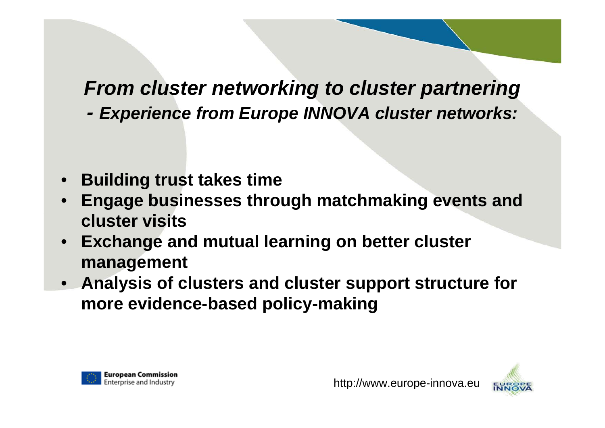# *From cluster networking to cluster partnering*

*- Experience from Europe INNOVA cluster networks:*

- **Building trust takes time**
- **Engage businesses through matchmaking events and cluster visits**
- **Exchange and mutual learning on better cluster management**
- **Analysis of clusters and cluster support structure for more evidence-based policy-making**



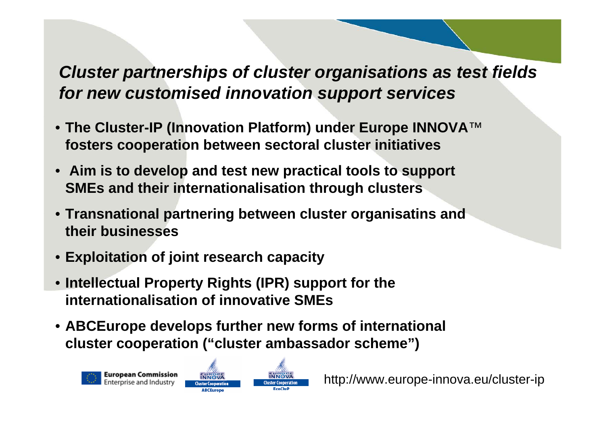## *Cluster partnerships of cluster organisations as test fields for new customised innovation support services*

- **The Cluster-IP (Innovation Platform) under Europe INNOVA**™ **fosters cooperation between sectoral cluster initiatives**
- **Aim is to develop and test new practical tools to support SMEs and their internationalisation through clusters**
- **Transnational partnering between cluster organisatins and their businesses**
- **Exploitation of joint research capacity**
- **Intellectual Property Rights (IPR) support for the internationalisation of innovative SMEs**

Cluster Cooperation **ABCEurope** 

• **ABCEurope develops further new forms of international cluster cooperation ("cluster ambassador scheme")**



http://www.europe-innova.eu/cluster-ip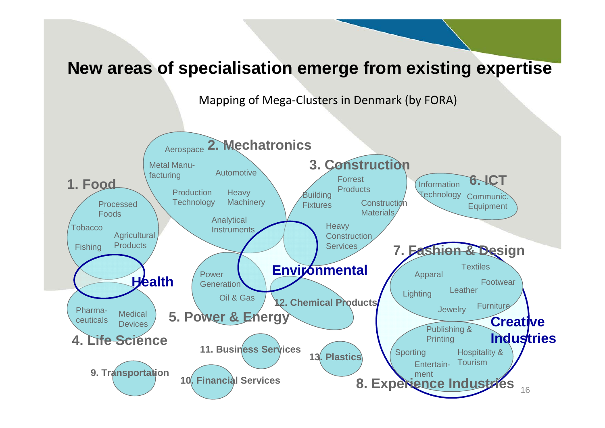### **New areas of specialisation emerge from existing expertise**

Mapping of Mega‐Clusters in Denmark (by FORA)

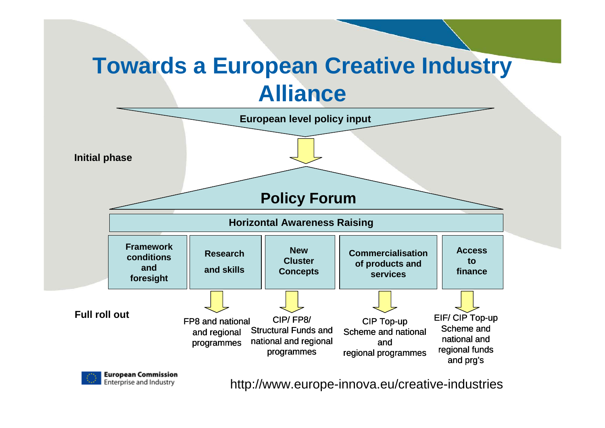# **Towards a European Creative Industry Alliance**



**European Commission** Enterprise and Industry

http://www.europe-innova.eu/creative-industries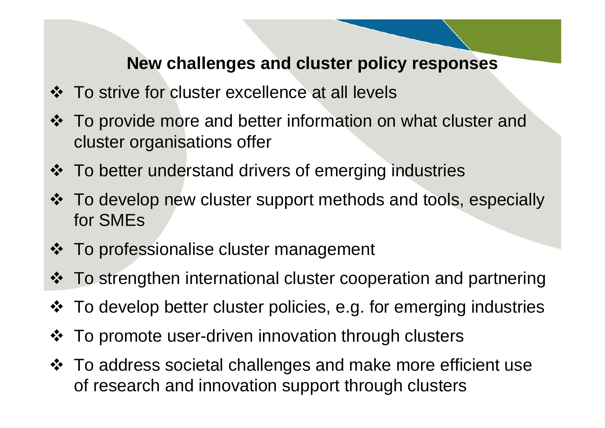### **New challenges and cluster policy responses**

- $\div$  To strive for cluster excellence at all levels
- To provide more and better information on what cluster and cluster organisations offer
- To better understand drivers of emerging industries
- To develop new cluster support methods and tools, especially for SMEs
- ❖ To professionalise cluster management
- To strengthen international cluster cooperation and partnering
- To develop better cluster policies, e.g. for emerging industries
- To promote user-driven innovation through clusters
- To address societal challenges and make more efficient use of research and innovation support through clusters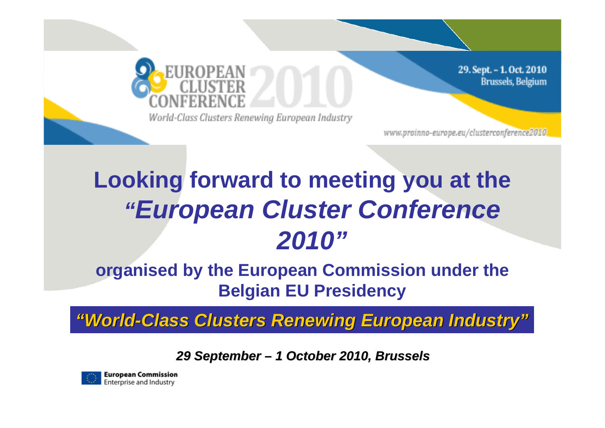

29. Sept. - 1. Oct. 2010 **Brussels**, Belgium

World-Class Clusters Renewing European Industry

www.proinno-europe.eu/clusterconference2010,

# **Looking forward to meeting you at the**  *"European Cluster Conference 2010"*

## **organised by the European Commission under the Belgian EU Presidency**

*"World-Class Clusters Renewing European Industry Class Clusters Renewing European Industry "*

*29 September 29 September –1 October 2010, Brussels 1 October 2010, Brussels*